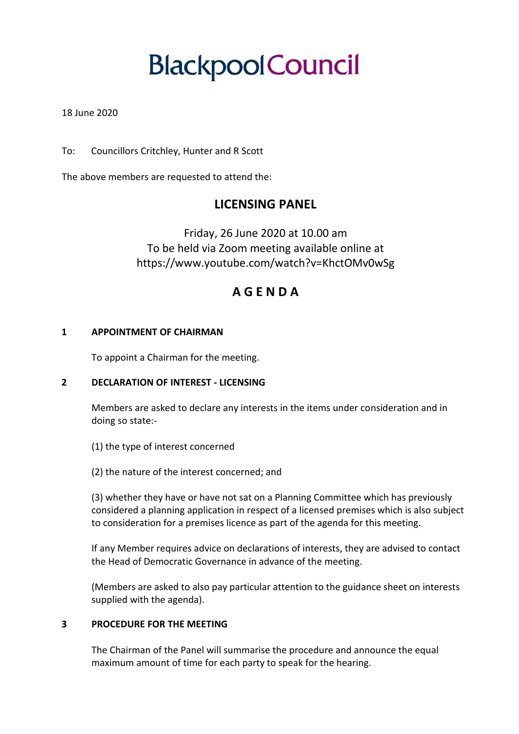# **BlackpoolCouncil**

#### 18 June 2020

To: Councillors Critchley, Hunter and R Scott

The above members are requested to attend the:

## **LICENSING PANEL**

Friday, 26 June 2020 at 10.00 am To be held via Zoom meeting available online at https://www.youtube.com/watch?v=KhctOMv0wSg

## **A G E N D A**

#### **1 APPOINTMENT OF CHAIRMAN**

To appoint a Chairman for the meeting.

#### **2 DECLARATION OF INTEREST - LICENSING**

Members are asked to declare any interests in the items under consideration and in doing so state:-

- (1) the type of interest concerned
- (2) the nature of the interest concerned; and

(3) whether they have or have not sat on a Planning Committee which has previously considered a planning application in respect of a licensed premises which is also subject to consideration for a premises licence as part of the agenda for this meeting.

If any Member requires advice on declarations of interests, they are advised to contact the Head of Democratic Governance in advance of the meeting.

(Members are asked to also pay particular attention to the guidance sheet on interests supplied with the agenda).

#### **3 PROCEDURE FOR THE MEETING**

The Chairman of the Panel will summarise the procedure and announce the equal maximum amount of time for each party to speak for the hearing.